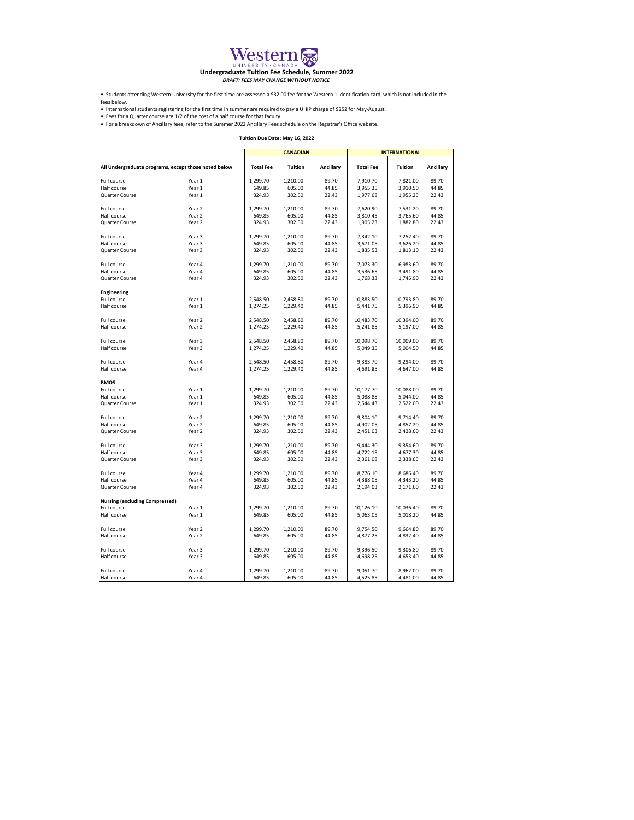

• Students attending Western University for the first time are assessed a \$32.00 fee for the Western 1 identification card, which is not included in the

• International students registering for the first time in summer are required to pay a UHIP charge of \$252 for May-August. fees below.

• Fees for a Quarter course are 1/2 of the cost of a half course for that faculty.<br>• For a breakdown of Ancillary fees, refer to the Summer 2022 Ancillary Fees schedule on the Registrar's Office website.

| <b>CANADIAN</b><br><b>INTERNATIONAL</b><br>All Undergraduate programs, except those noted below<br><b>Tuition</b><br>Ancillary<br><b>Total Fee</b><br><b>Tuition</b><br>Ancillary<br><b>Total Fee</b><br>89.70<br>89.70<br>Year 1<br>1,299.70<br>1,210.00<br>7,910.70<br>7,821.00<br>Year 1<br>649.85<br>605.00<br>44.85<br>3,955.35<br>3,910.50<br>44.85<br>Half course<br>Quarter Course<br>Year 1<br>324.93<br>302.50<br>22.43<br>1,977.68<br>1,955.25<br>22.43<br>Full course<br>Year <sub>2</sub><br>1,299.70<br>1,210.00<br>89.70<br>7,620.90<br>7,531.20<br>89.70<br>Half course<br>Year 2<br>649.85<br>605.00<br>44.85<br>3,810.45<br>3,765.60<br>44.85<br>Year 2<br>324.93<br>302.50<br>22.43<br>1,905.23<br>1,882.80<br>22.43<br>Quarter Course<br>Year 3<br>1,299.70<br>1,210.00<br>89.70<br>89.70<br>Full course<br>7,342.10<br>7,252.40<br>649.85<br>44.85<br>Half course<br>Year 3<br>605.00<br>3,671.05<br>3,626.20<br>44.85<br>Year 3<br>324.93<br>302.50<br>22.43<br>1,835.53<br>1,813.10<br>22.43<br>1,299.70<br>89.70<br>7,073.30<br>6,983.60<br>89.70<br>Full course<br>Year 4<br>1,210.00<br>Year 4<br>44.85<br>44.85<br>Half course<br>649.85<br>605.00<br>3,536.65<br>3,491.80<br>Year 4<br>324.93<br>22.43<br>302.50<br>22.43<br>1,768.33<br>1,745.90<br>Engineering<br>Full course<br>Year 1<br>2,548.50<br>2,458.80<br>89.70<br>10,883.50<br>10,793.80<br>89.70<br>Half course<br>Year 1<br>1,274.25<br>1,229.40<br>44.85<br>5,441.75<br>5,396.90<br>44.85<br>89.70<br>Full course<br>Year <sub>2</sub><br>2.548.50<br>2.458.80<br>89.70<br>10,483.70<br>10,394.00<br>Year 2<br>44.85<br>Half course<br>1,274.25<br>1,229.40<br>5,241.85<br>5,197.00<br>44.85<br>89.70<br>Full course<br>Year 3<br>2,548.50<br>2,458.80<br>10,098.70<br>10,009.00<br>89.70<br>Half course<br>Year 3<br>1,274.25<br>1,229.40<br>44.85<br>5,049.35<br>5,004.50<br>44.85<br>89.70<br>89.70<br>Full course<br>Year 4<br>2,548.50<br>2,458.80<br>9,383.70<br>9,294.00<br>Year 4<br>44.85<br>44.85<br>Half course<br>1,274.25<br>1,229.40<br>4,691.85<br>4,647.00<br>Year 1<br>1,299.70<br>89.70<br>10,177.70<br>10,088.00<br>89.70<br>1,210.00<br>Half course<br>Year 1<br>649.85<br>605.00<br>44.85<br>5,088.85<br>5,044.00<br>44.85<br>324.93<br>302.50<br>Quarter Course<br>Year 1<br>22.43<br>2,544.43<br>2,522.00<br>22.43<br>89.70<br>Year 2<br>1,299.70<br>1,210.00<br>9,804.10<br>9,714.40<br>89.70<br>Full course<br>Half course<br>Year <sub>2</sub><br>649.85<br>605.00<br>44.85<br>4,902.05<br>4,857.20<br>44.85<br>Quarter Course<br>Year 2<br>324.93<br>302.50<br>22.43<br>2,451.03<br>2,428.60<br>22.43<br>89.70<br>89.70<br>Year <sub>3</sub><br>1,299.70<br>1,210.00<br>9.444.30<br>9,354.60<br>44.85<br>Half course<br>Year 3<br>649.85<br>605.00<br>4,722.15<br>4,677.30<br>44.85<br>324.93<br>Year 3<br>302.50<br>22.43<br>2,361.08<br>22.43<br>Quarter Course<br>2,338.65<br>89.70<br>89.70<br>Full course<br>Year 4<br>1,299.70<br>1,210.00<br>8,776.10<br>8,686.40<br>Year 4<br>649.85<br>44.85<br>4,388.05<br>4,343.20<br>44.85<br>Half course<br>605.00<br>Year 4<br>324.93<br>302.50<br>22.43<br>2,194.03<br>2,171.60<br>22.43<br>Quarter Course<br><b>Nursing (excluding Compressed)</b><br>Full course<br>1,299.70<br>1,210.00<br>89.70<br>10,126.10<br>10,036.40<br>89.70<br>Year 1<br>Half course<br>Year 1<br>649.85<br>605.00<br>44.85<br>5,063.05<br>5,018.20<br>44.85<br>89.70<br>Full course<br>Year 2<br>1,299.70<br>1,210.00<br>9,754.50<br>9,664.80<br>89.70<br>Half course<br>Year <sub>2</sub><br>649.85<br>605.00<br>44.85<br>4,877.25<br>4,832.40<br>44.85<br>1,299.70<br>89.70<br>89.70<br>Full course<br>Year 3<br>1,210.00<br>9,396.50<br>9,306.80<br>Half course<br>Year 3<br>649.85<br>605.00<br>44.85<br>4,698.25<br>4,653.40<br>44.85<br>89.70<br>Year 4<br>1,299.70<br>1,210.00<br>9,051.70<br>8,962.00<br>89.70<br>649.85<br>605.00<br>44.85<br>4,525.85<br>4,481.00<br>44.85<br>Year 4 |                | Tuition Due Date: May 16, 2022 |  |  |  |  |  |  |
|-------------------------------------------------------------------------------------------------------------------------------------------------------------------------------------------------------------------------------------------------------------------------------------------------------------------------------------------------------------------------------------------------------------------------------------------------------------------------------------------------------------------------------------------------------------------------------------------------------------------------------------------------------------------------------------------------------------------------------------------------------------------------------------------------------------------------------------------------------------------------------------------------------------------------------------------------------------------------------------------------------------------------------------------------------------------------------------------------------------------------------------------------------------------------------------------------------------------------------------------------------------------------------------------------------------------------------------------------------------------------------------------------------------------------------------------------------------------------------------------------------------------------------------------------------------------------------------------------------------------------------------------------------------------------------------------------------------------------------------------------------------------------------------------------------------------------------------------------------------------------------------------------------------------------------------------------------------------------------------------------------------------------------------------------------------------------------------------------------------------------------------------------------------------------------------------------------------------------------------------------------------------------------------------------------------------------------------------------------------------------------------------------------------------------------------------------------------------------------------------------------------------------------------------------------------------------------------------------------------------------------------------------------------------------------------------------------------------------------------------------------------------------------------------------------------------------------------------------------------------------------------------------------------------------------------------------------------------------------------------------------------------------------------------------------------------------------------------------------------------------------------------------------------------------------------------------------------------------------------------------------------------------------------------------------------------------------------------------------------------------------------------------------------------------------------------------------------------------------------------------------------------------------------------------------------------------------------------------------------------------------------------------------------------------------------------------------------------------------------------------------------------------------------------------------------------------------------------------------------------------------------------------------------------------------------------------|----------------|--------------------------------|--|--|--|--|--|--|
|                                                                                                                                                                                                                                                                                                                                                                                                                                                                                                                                                                                                                                                                                                                                                                                                                                                                                                                                                                                                                                                                                                                                                                                                                                                                                                                                                                                                                                                                                                                                                                                                                                                                                                                                                                                                                                                                                                                                                                                                                                                                                                                                                                                                                                                                                                                                                                                                                                                                                                                                                                                                                                                                                                                                                                                                                                                                                                                                                                                                                                                                                                                                                                                                                                                                                                                                                                                                                                                                                                                                                                                                                                                                                                                                                                                                                                                                                                                                                 |                |                                |  |  |  |  |  |  |
|                                                                                                                                                                                                                                                                                                                                                                                                                                                                                                                                                                                                                                                                                                                                                                                                                                                                                                                                                                                                                                                                                                                                                                                                                                                                                                                                                                                                                                                                                                                                                                                                                                                                                                                                                                                                                                                                                                                                                                                                                                                                                                                                                                                                                                                                                                                                                                                                                                                                                                                                                                                                                                                                                                                                                                                                                                                                                                                                                                                                                                                                                                                                                                                                                                                                                                                                                                                                                                                                                                                                                                                                                                                                                                                                                                                                                                                                                                                                                 |                |                                |  |  |  |  |  |  |
|                                                                                                                                                                                                                                                                                                                                                                                                                                                                                                                                                                                                                                                                                                                                                                                                                                                                                                                                                                                                                                                                                                                                                                                                                                                                                                                                                                                                                                                                                                                                                                                                                                                                                                                                                                                                                                                                                                                                                                                                                                                                                                                                                                                                                                                                                                                                                                                                                                                                                                                                                                                                                                                                                                                                                                                                                                                                                                                                                                                                                                                                                                                                                                                                                                                                                                                                                                                                                                                                                                                                                                                                                                                                                                                                                                                                                                                                                                                                                 | Full course    |                                |  |  |  |  |  |  |
|                                                                                                                                                                                                                                                                                                                                                                                                                                                                                                                                                                                                                                                                                                                                                                                                                                                                                                                                                                                                                                                                                                                                                                                                                                                                                                                                                                                                                                                                                                                                                                                                                                                                                                                                                                                                                                                                                                                                                                                                                                                                                                                                                                                                                                                                                                                                                                                                                                                                                                                                                                                                                                                                                                                                                                                                                                                                                                                                                                                                                                                                                                                                                                                                                                                                                                                                                                                                                                                                                                                                                                                                                                                                                                                                                                                                                                                                                                                                                 |                |                                |  |  |  |  |  |  |
|                                                                                                                                                                                                                                                                                                                                                                                                                                                                                                                                                                                                                                                                                                                                                                                                                                                                                                                                                                                                                                                                                                                                                                                                                                                                                                                                                                                                                                                                                                                                                                                                                                                                                                                                                                                                                                                                                                                                                                                                                                                                                                                                                                                                                                                                                                                                                                                                                                                                                                                                                                                                                                                                                                                                                                                                                                                                                                                                                                                                                                                                                                                                                                                                                                                                                                                                                                                                                                                                                                                                                                                                                                                                                                                                                                                                                                                                                                                                                 |                |                                |  |  |  |  |  |  |
|                                                                                                                                                                                                                                                                                                                                                                                                                                                                                                                                                                                                                                                                                                                                                                                                                                                                                                                                                                                                                                                                                                                                                                                                                                                                                                                                                                                                                                                                                                                                                                                                                                                                                                                                                                                                                                                                                                                                                                                                                                                                                                                                                                                                                                                                                                                                                                                                                                                                                                                                                                                                                                                                                                                                                                                                                                                                                                                                                                                                                                                                                                                                                                                                                                                                                                                                                                                                                                                                                                                                                                                                                                                                                                                                                                                                                                                                                                                                                 |                |                                |  |  |  |  |  |  |
|                                                                                                                                                                                                                                                                                                                                                                                                                                                                                                                                                                                                                                                                                                                                                                                                                                                                                                                                                                                                                                                                                                                                                                                                                                                                                                                                                                                                                                                                                                                                                                                                                                                                                                                                                                                                                                                                                                                                                                                                                                                                                                                                                                                                                                                                                                                                                                                                                                                                                                                                                                                                                                                                                                                                                                                                                                                                                                                                                                                                                                                                                                                                                                                                                                                                                                                                                                                                                                                                                                                                                                                                                                                                                                                                                                                                                                                                                                                                                 |                |                                |  |  |  |  |  |  |
|                                                                                                                                                                                                                                                                                                                                                                                                                                                                                                                                                                                                                                                                                                                                                                                                                                                                                                                                                                                                                                                                                                                                                                                                                                                                                                                                                                                                                                                                                                                                                                                                                                                                                                                                                                                                                                                                                                                                                                                                                                                                                                                                                                                                                                                                                                                                                                                                                                                                                                                                                                                                                                                                                                                                                                                                                                                                                                                                                                                                                                                                                                                                                                                                                                                                                                                                                                                                                                                                                                                                                                                                                                                                                                                                                                                                                                                                                                                                                 |                |                                |  |  |  |  |  |  |
|                                                                                                                                                                                                                                                                                                                                                                                                                                                                                                                                                                                                                                                                                                                                                                                                                                                                                                                                                                                                                                                                                                                                                                                                                                                                                                                                                                                                                                                                                                                                                                                                                                                                                                                                                                                                                                                                                                                                                                                                                                                                                                                                                                                                                                                                                                                                                                                                                                                                                                                                                                                                                                                                                                                                                                                                                                                                                                                                                                                                                                                                                                                                                                                                                                                                                                                                                                                                                                                                                                                                                                                                                                                                                                                                                                                                                                                                                                                                                 |                |                                |  |  |  |  |  |  |
|                                                                                                                                                                                                                                                                                                                                                                                                                                                                                                                                                                                                                                                                                                                                                                                                                                                                                                                                                                                                                                                                                                                                                                                                                                                                                                                                                                                                                                                                                                                                                                                                                                                                                                                                                                                                                                                                                                                                                                                                                                                                                                                                                                                                                                                                                                                                                                                                                                                                                                                                                                                                                                                                                                                                                                                                                                                                                                                                                                                                                                                                                                                                                                                                                                                                                                                                                                                                                                                                                                                                                                                                                                                                                                                                                                                                                                                                                                                                                 |                |                                |  |  |  |  |  |  |
|                                                                                                                                                                                                                                                                                                                                                                                                                                                                                                                                                                                                                                                                                                                                                                                                                                                                                                                                                                                                                                                                                                                                                                                                                                                                                                                                                                                                                                                                                                                                                                                                                                                                                                                                                                                                                                                                                                                                                                                                                                                                                                                                                                                                                                                                                                                                                                                                                                                                                                                                                                                                                                                                                                                                                                                                                                                                                                                                                                                                                                                                                                                                                                                                                                                                                                                                                                                                                                                                                                                                                                                                                                                                                                                                                                                                                                                                                                                                                 | Quarter Course |                                |  |  |  |  |  |  |
|                                                                                                                                                                                                                                                                                                                                                                                                                                                                                                                                                                                                                                                                                                                                                                                                                                                                                                                                                                                                                                                                                                                                                                                                                                                                                                                                                                                                                                                                                                                                                                                                                                                                                                                                                                                                                                                                                                                                                                                                                                                                                                                                                                                                                                                                                                                                                                                                                                                                                                                                                                                                                                                                                                                                                                                                                                                                                                                                                                                                                                                                                                                                                                                                                                                                                                                                                                                                                                                                                                                                                                                                                                                                                                                                                                                                                                                                                                                                                 |                |                                |  |  |  |  |  |  |
|                                                                                                                                                                                                                                                                                                                                                                                                                                                                                                                                                                                                                                                                                                                                                                                                                                                                                                                                                                                                                                                                                                                                                                                                                                                                                                                                                                                                                                                                                                                                                                                                                                                                                                                                                                                                                                                                                                                                                                                                                                                                                                                                                                                                                                                                                                                                                                                                                                                                                                                                                                                                                                                                                                                                                                                                                                                                                                                                                                                                                                                                                                                                                                                                                                                                                                                                                                                                                                                                                                                                                                                                                                                                                                                                                                                                                                                                                                                                                 |                |                                |  |  |  |  |  |  |
|                                                                                                                                                                                                                                                                                                                                                                                                                                                                                                                                                                                                                                                                                                                                                                                                                                                                                                                                                                                                                                                                                                                                                                                                                                                                                                                                                                                                                                                                                                                                                                                                                                                                                                                                                                                                                                                                                                                                                                                                                                                                                                                                                                                                                                                                                                                                                                                                                                                                                                                                                                                                                                                                                                                                                                                                                                                                                                                                                                                                                                                                                                                                                                                                                                                                                                                                                                                                                                                                                                                                                                                                                                                                                                                                                                                                                                                                                                                                                 | Quarter Course |                                |  |  |  |  |  |  |
|                                                                                                                                                                                                                                                                                                                                                                                                                                                                                                                                                                                                                                                                                                                                                                                                                                                                                                                                                                                                                                                                                                                                                                                                                                                                                                                                                                                                                                                                                                                                                                                                                                                                                                                                                                                                                                                                                                                                                                                                                                                                                                                                                                                                                                                                                                                                                                                                                                                                                                                                                                                                                                                                                                                                                                                                                                                                                                                                                                                                                                                                                                                                                                                                                                                                                                                                                                                                                                                                                                                                                                                                                                                                                                                                                                                                                                                                                                                                                 |                |                                |  |  |  |  |  |  |
|                                                                                                                                                                                                                                                                                                                                                                                                                                                                                                                                                                                                                                                                                                                                                                                                                                                                                                                                                                                                                                                                                                                                                                                                                                                                                                                                                                                                                                                                                                                                                                                                                                                                                                                                                                                                                                                                                                                                                                                                                                                                                                                                                                                                                                                                                                                                                                                                                                                                                                                                                                                                                                                                                                                                                                                                                                                                                                                                                                                                                                                                                                                                                                                                                                                                                                                                                                                                                                                                                                                                                                                                                                                                                                                                                                                                                                                                                                                                                 |                |                                |  |  |  |  |  |  |
|                                                                                                                                                                                                                                                                                                                                                                                                                                                                                                                                                                                                                                                                                                                                                                                                                                                                                                                                                                                                                                                                                                                                                                                                                                                                                                                                                                                                                                                                                                                                                                                                                                                                                                                                                                                                                                                                                                                                                                                                                                                                                                                                                                                                                                                                                                                                                                                                                                                                                                                                                                                                                                                                                                                                                                                                                                                                                                                                                                                                                                                                                                                                                                                                                                                                                                                                                                                                                                                                                                                                                                                                                                                                                                                                                                                                                                                                                                                                                 |                |                                |  |  |  |  |  |  |
|                                                                                                                                                                                                                                                                                                                                                                                                                                                                                                                                                                                                                                                                                                                                                                                                                                                                                                                                                                                                                                                                                                                                                                                                                                                                                                                                                                                                                                                                                                                                                                                                                                                                                                                                                                                                                                                                                                                                                                                                                                                                                                                                                                                                                                                                                                                                                                                                                                                                                                                                                                                                                                                                                                                                                                                                                                                                                                                                                                                                                                                                                                                                                                                                                                                                                                                                                                                                                                                                                                                                                                                                                                                                                                                                                                                                                                                                                                                                                 |                |                                |  |  |  |  |  |  |
|                                                                                                                                                                                                                                                                                                                                                                                                                                                                                                                                                                                                                                                                                                                                                                                                                                                                                                                                                                                                                                                                                                                                                                                                                                                                                                                                                                                                                                                                                                                                                                                                                                                                                                                                                                                                                                                                                                                                                                                                                                                                                                                                                                                                                                                                                                                                                                                                                                                                                                                                                                                                                                                                                                                                                                                                                                                                                                                                                                                                                                                                                                                                                                                                                                                                                                                                                                                                                                                                                                                                                                                                                                                                                                                                                                                                                                                                                                                                                 |                |                                |  |  |  |  |  |  |
|                                                                                                                                                                                                                                                                                                                                                                                                                                                                                                                                                                                                                                                                                                                                                                                                                                                                                                                                                                                                                                                                                                                                                                                                                                                                                                                                                                                                                                                                                                                                                                                                                                                                                                                                                                                                                                                                                                                                                                                                                                                                                                                                                                                                                                                                                                                                                                                                                                                                                                                                                                                                                                                                                                                                                                                                                                                                                                                                                                                                                                                                                                                                                                                                                                                                                                                                                                                                                                                                                                                                                                                                                                                                                                                                                                                                                                                                                                                                                 |                |                                |  |  |  |  |  |  |
|                                                                                                                                                                                                                                                                                                                                                                                                                                                                                                                                                                                                                                                                                                                                                                                                                                                                                                                                                                                                                                                                                                                                                                                                                                                                                                                                                                                                                                                                                                                                                                                                                                                                                                                                                                                                                                                                                                                                                                                                                                                                                                                                                                                                                                                                                                                                                                                                                                                                                                                                                                                                                                                                                                                                                                                                                                                                                                                                                                                                                                                                                                                                                                                                                                                                                                                                                                                                                                                                                                                                                                                                                                                                                                                                                                                                                                                                                                                                                 |                |                                |  |  |  |  |  |  |
|                                                                                                                                                                                                                                                                                                                                                                                                                                                                                                                                                                                                                                                                                                                                                                                                                                                                                                                                                                                                                                                                                                                                                                                                                                                                                                                                                                                                                                                                                                                                                                                                                                                                                                                                                                                                                                                                                                                                                                                                                                                                                                                                                                                                                                                                                                                                                                                                                                                                                                                                                                                                                                                                                                                                                                                                                                                                                                                                                                                                                                                                                                                                                                                                                                                                                                                                                                                                                                                                                                                                                                                                                                                                                                                                                                                                                                                                                                                                                 |                |                                |  |  |  |  |  |  |
|                                                                                                                                                                                                                                                                                                                                                                                                                                                                                                                                                                                                                                                                                                                                                                                                                                                                                                                                                                                                                                                                                                                                                                                                                                                                                                                                                                                                                                                                                                                                                                                                                                                                                                                                                                                                                                                                                                                                                                                                                                                                                                                                                                                                                                                                                                                                                                                                                                                                                                                                                                                                                                                                                                                                                                                                                                                                                                                                                                                                                                                                                                                                                                                                                                                                                                                                                                                                                                                                                                                                                                                                                                                                                                                                                                                                                                                                                                                                                 |                |                                |  |  |  |  |  |  |
|                                                                                                                                                                                                                                                                                                                                                                                                                                                                                                                                                                                                                                                                                                                                                                                                                                                                                                                                                                                                                                                                                                                                                                                                                                                                                                                                                                                                                                                                                                                                                                                                                                                                                                                                                                                                                                                                                                                                                                                                                                                                                                                                                                                                                                                                                                                                                                                                                                                                                                                                                                                                                                                                                                                                                                                                                                                                                                                                                                                                                                                                                                                                                                                                                                                                                                                                                                                                                                                                                                                                                                                                                                                                                                                                                                                                                                                                                                                                                 |                |                                |  |  |  |  |  |  |
|                                                                                                                                                                                                                                                                                                                                                                                                                                                                                                                                                                                                                                                                                                                                                                                                                                                                                                                                                                                                                                                                                                                                                                                                                                                                                                                                                                                                                                                                                                                                                                                                                                                                                                                                                                                                                                                                                                                                                                                                                                                                                                                                                                                                                                                                                                                                                                                                                                                                                                                                                                                                                                                                                                                                                                                                                                                                                                                                                                                                                                                                                                                                                                                                                                                                                                                                                                                                                                                                                                                                                                                                                                                                                                                                                                                                                                                                                                                                                 | <b>BMOS</b>    |                                |  |  |  |  |  |  |
|                                                                                                                                                                                                                                                                                                                                                                                                                                                                                                                                                                                                                                                                                                                                                                                                                                                                                                                                                                                                                                                                                                                                                                                                                                                                                                                                                                                                                                                                                                                                                                                                                                                                                                                                                                                                                                                                                                                                                                                                                                                                                                                                                                                                                                                                                                                                                                                                                                                                                                                                                                                                                                                                                                                                                                                                                                                                                                                                                                                                                                                                                                                                                                                                                                                                                                                                                                                                                                                                                                                                                                                                                                                                                                                                                                                                                                                                                                                                                 | Full course    |                                |  |  |  |  |  |  |
|                                                                                                                                                                                                                                                                                                                                                                                                                                                                                                                                                                                                                                                                                                                                                                                                                                                                                                                                                                                                                                                                                                                                                                                                                                                                                                                                                                                                                                                                                                                                                                                                                                                                                                                                                                                                                                                                                                                                                                                                                                                                                                                                                                                                                                                                                                                                                                                                                                                                                                                                                                                                                                                                                                                                                                                                                                                                                                                                                                                                                                                                                                                                                                                                                                                                                                                                                                                                                                                                                                                                                                                                                                                                                                                                                                                                                                                                                                                                                 |                |                                |  |  |  |  |  |  |
|                                                                                                                                                                                                                                                                                                                                                                                                                                                                                                                                                                                                                                                                                                                                                                                                                                                                                                                                                                                                                                                                                                                                                                                                                                                                                                                                                                                                                                                                                                                                                                                                                                                                                                                                                                                                                                                                                                                                                                                                                                                                                                                                                                                                                                                                                                                                                                                                                                                                                                                                                                                                                                                                                                                                                                                                                                                                                                                                                                                                                                                                                                                                                                                                                                                                                                                                                                                                                                                                                                                                                                                                                                                                                                                                                                                                                                                                                                                                                 |                |                                |  |  |  |  |  |  |
|                                                                                                                                                                                                                                                                                                                                                                                                                                                                                                                                                                                                                                                                                                                                                                                                                                                                                                                                                                                                                                                                                                                                                                                                                                                                                                                                                                                                                                                                                                                                                                                                                                                                                                                                                                                                                                                                                                                                                                                                                                                                                                                                                                                                                                                                                                                                                                                                                                                                                                                                                                                                                                                                                                                                                                                                                                                                                                                                                                                                                                                                                                                                                                                                                                                                                                                                                                                                                                                                                                                                                                                                                                                                                                                                                                                                                                                                                                                                                 |                |                                |  |  |  |  |  |  |
|                                                                                                                                                                                                                                                                                                                                                                                                                                                                                                                                                                                                                                                                                                                                                                                                                                                                                                                                                                                                                                                                                                                                                                                                                                                                                                                                                                                                                                                                                                                                                                                                                                                                                                                                                                                                                                                                                                                                                                                                                                                                                                                                                                                                                                                                                                                                                                                                                                                                                                                                                                                                                                                                                                                                                                                                                                                                                                                                                                                                                                                                                                                                                                                                                                                                                                                                                                                                                                                                                                                                                                                                                                                                                                                                                                                                                                                                                                                                                 |                |                                |  |  |  |  |  |  |
|                                                                                                                                                                                                                                                                                                                                                                                                                                                                                                                                                                                                                                                                                                                                                                                                                                                                                                                                                                                                                                                                                                                                                                                                                                                                                                                                                                                                                                                                                                                                                                                                                                                                                                                                                                                                                                                                                                                                                                                                                                                                                                                                                                                                                                                                                                                                                                                                                                                                                                                                                                                                                                                                                                                                                                                                                                                                                                                                                                                                                                                                                                                                                                                                                                                                                                                                                                                                                                                                                                                                                                                                                                                                                                                                                                                                                                                                                                                                                 |                |                                |  |  |  |  |  |  |
|                                                                                                                                                                                                                                                                                                                                                                                                                                                                                                                                                                                                                                                                                                                                                                                                                                                                                                                                                                                                                                                                                                                                                                                                                                                                                                                                                                                                                                                                                                                                                                                                                                                                                                                                                                                                                                                                                                                                                                                                                                                                                                                                                                                                                                                                                                                                                                                                                                                                                                                                                                                                                                                                                                                                                                                                                                                                                                                                                                                                                                                                                                                                                                                                                                                                                                                                                                                                                                                                                                                                                                                                                                                                                                                                                                                                                                                                                                                                                 | Full course    |                                |  |  |  |  |  |  |
|                                                                                                                                                                                                                                                                                                                                                                                                                                                                                                                                                                                                                                                                                                                                                                                                                                                                                                                                                                                                                                                                                                                                                                                                                                                                                                                                                                                                                                                                                                                                                                                                                                                                                                                                                                                                                                                                                                                                                                                                                                                                                                                                                                                                                                                                                                                                                                                                                                                                                                                                                                                                                                                                                                                                                                                                                                                                                                                                                                                                                                                                                                                                                                                                                                                                                                                                                                                                                                                                                                                                                                                                                                                                                                                                                                                                                                                                                                                                                 |                |                                |  |  |  |  |  |  |
|                                                                                                                                                                                                                                                                                                                                                                                                                                                                                                                                                                                                                                                                                                                                                                                                                                                                                                                                                                                                                                                                                                                                                                                                                                                                                                                                                                                                                                                                                                                                                                                                                                                                                                                                                                                                                                                                                                                                                                                                                                                                                                                                                                                                                                                                                                                                                                                                                                                                                                                                                                                                                                                                                                                                                                                                                                                                                                                                                                                                                                                                                                                                                                                                                                                                                                                                                                                                                                                                                                                                                                                                                                                                                                                                                                                                                                                                                                                                                 |                |                                |  |  |  |  |  |  |
|                                                                                                                                                                                                                                                                                                                                                                                                                                                                                                                                                                                                                                                                                                                                                                                                                                                                                                                                                                                                                                                                                                                                                                                                                                                                                                                                                                                                                                                                                                                                                                                                                                                                                                                                                                                                                                                                                                                                                                                                                                                                                                                                                                                                                                                                                                                                                                                                                                                                                                                                                                                                                                                                                                                                                                                                                                                                                                                                                                                                                                                                                                                                                                                                                                                                                                                                                                                                                                                                                                                                                                                                                                                                                                                                                                                                                                                                                                                                                 |                |                                |  |  |  |  |  |  |
|                                                                                                                                                                                                                                                                                                                                                                                                                                                                                                                                                                                                                                                                                                                                                                                                                                                                                                                                                                                                                                                                                                                                                                                                                                                                                                                                                                                                                                                                                                                                                                                                                                                                                                                                                                                                                                                                                                                                                                                                                                                                                                                                                                                                                                                                                                                                                                                                                                                                                                                                                                                                                                                                                                                                                                                                                                                                                                                                                                                                                                                                                                                                                                                                                                                                                                                                                                                                                                                                                                                                                                                                                                                                                                                                                                                                                                                                                                                                                 |                |                                |  |  |  |  |  |  |
|                                                                                                                                                                                                                                                                                                                                                                                                                                                                                                                                                                                                                                                                                                                                                                                                                                                                                                                                                                                                                                                                                                                                                                                                                                                                                                                                                                                                                                                                                                                                                                                                                                                                                                                                                                                                                                                                                                                                                                                                                                                                                                                                                                                                                                                                                                                                                                                                                                                                                                                                                                                                                                                                                                                                                                                                                                                                                                                                                                                                                                                                                                                                                                                                                                                                                                                                                                                                                                                                                                                                                                                                                                                                                                                                                                                                                                                                                                                                                 |                |                                |  |  |  |  |  |  |
|                                                                                                                                                                                                                                                                                                                                                                                                                                                                                                                                                                                                                                                                                                                                                                                                                                                                                                                                                                                                                                                                                                                                                                                                                                                                                                                                                                                                                                                                                                                                                                                                                                                                                                                                                                                                                                                                                                                                                                                                                                                                                                                                                                                                                                                                                                                                                                                                                                                                                                                                                                                                                                                                                                                                                                                                                                                                                                                                                                                                                                                                                                                                                                                                                                                                                                                                                                                                                                                                                                                                                                                                                                                                                                                                                                                                                                                                                                                                                 |                |                                |  |  |  |  |  |  |
|                                                                                                                                                                                                                                                                                                                                                                                                                                                                                                                                                                                                                                                                                                                                                                                                                                                                                                                                                                                                                                                                                                                                                                                                                                                                                                                                                                                                                                                                                                                                                                                                                                                                                                                                                                                                                                                                                                                                                                                                                                                                                                                                                                                                                                                                                                                                                                                                                                                                                                                                                                                                                                                                                                                                                                                                                                                                                                                                                                                                                                                                                                                                                                                                                                                                                                                                                                                                                                                                                                                                                                                                                                                                                                                                                                                                                                                                                                                                                 |                |                                |  |  |  |  |  |  |
|                                                                                                                                                                                                                                                                                                                                                                                                                                                                                                                                                                                                                                                                                                                                                                                                                                                                                                                                                                                                                                                                                                                                                                                                                                                                                                                                                                                                                                                                                                                                                                                                                                                                                                                                                                                                                                                                                                                                                                                                                                                                                                                                                                                                                                                                                                                                                                                                                                                                                                                                                                                                                                                                                                                                                                                                                                                                                                                                                                                                                                                                                                                                                                                                                                                                                                                                                                                                                                                                                                                                                                                                                                                                                                                                                                                                                                                                                                                                                 |                |                                |  |  |  |  |  |  |
|                                                                                                                                                                                                                                                                                                                                                                                                                                                                                                                                                                                                                                                                                                                                                                                                                                                                                                                                                                                                                                                                                                                                                                                                                                                                                                                                                                                                                                                                                                                                                                                                                                                                                                                                                                                                                                                                                                                                                                                                                                                                                                                                                                                                                                                                                                                                                                                                                                                                                                                                                                                                                                                                                                                                                                                                                                                                                                                                                                                                                                                                                                                                                                                                                                                                                                                                                                                                                                                                                                                                                                                                                                                                                                                                                                                                                                                                                                                                                 |                |                                |  |  |  |  |  |  |
|                                                                                                                                                                                                                                                                                                                                                                                                                                                                                                                                                                                                                                                                                                                                                                                                                                                                                                                                                                                                                                                                                                                                                                                                                                                                                                                                                                                                                                                                                                                                                                                                                                                                                                                                                                                                                                                                                                                                                                                                                                                                                                                                                                                                                                                                                                                                                                                                                                                                                                                                                                                                                                                                                                                                                                                                                                                                                                                                                                                                                                                                                                                                                                                                                                                                                                                                                                                                                                                                                                                                                                                                                                                                                                                                                                                                                                                                                                                                                 |                |                                |  |  |  |  |  |  |
|                                                                                                                                                                                                                                                                                                                                                                                                                                                                                                                                                                                                                                                                                                                                                                                                                                                                                                                                                                                                                                                                                                                                                                                                                                                                                                                                                                                                                                                                                                                                                                                                                                                                                                                                                                                                                                                                                                                                                                                                                                                                                                                                                                                                                                                                                                                                                                                                                                                                                                                                                                                                                                                                                                                                                                                                                                                                                                                                                                                                                                                                                                                                                                                                                                                                                                                                                                                                                                                                                                                                                                                                                                                                                                                                                                                                                                                                                                                                                 |                |                                |  |  |  |  |  |  |
|                                                                                                                                                                                                                                                                                                                                                                                                                                                                                                                                                                                                                                                                                                                                                                                                                                                                                                                                                                                                                                                                                                                                                                                                                                                                                                                                                                                                                                                                                                                                                                                                                                                                                                                                                                                                                                                                                                                                                                                                                                                                                                                                                                                                                                                                                                                                                                                                                                                                                                                                                                                                                                                                                                                                                                                                                                                                                                                                                                                                                                                                                                                                                                                                                                                                                                                                                                                                                                                                                                                                                                                                                                                                                                                                                                                                                                                                                                                                                 |                |                                |  |  |  |  |  |  |
|                                                                                                                                                                                                                                                                                                                                                                                                                                                                                                                                                                                                                                                                                                                                                                                                                                                                                                                                                                                                                                                                                                                                                                                                                                                                                                                                                                                                                                                                                                                                                                                                                                                                                                                                                                                                                                                                                                                                                                                                                                                                                                                                                                                                                                                                                                                                                                                                                                                                                                                                                                                                                                                                                                                                                                                                                                                                                                                                                                                                                                                                                                                                                                                                                                                                                                                                                                                                                                                                                                                                                                                                                                                                                                                                                                                                                                                                                                                                                 | Full course    |                                |  |  |  |  |  |  |
|                                                                                                                                                                                                                                                                                                                                                                                                                                                                                                                                                                                                                                                                                                                                                                                                                                                                                                                                                                                                                                                                                                                                                                                                                                                                                                                                                                                                                                                                                                                                                                                                                                                                                                                                                                                                                                                                                                                                                                                                                                                                                                                                                                                                                                                                                                                                                                                                                                                                                                                                                                                                                                                                                                                                                                                                                                                                                                                                                                                                                                                                                                                                                                                                                                                                                                                                                                                                                                                                                                                                                                                                                                                                                                                                                                                                                                                                                                                                                 | Half course    |                                |  |  |  |  |  |  |